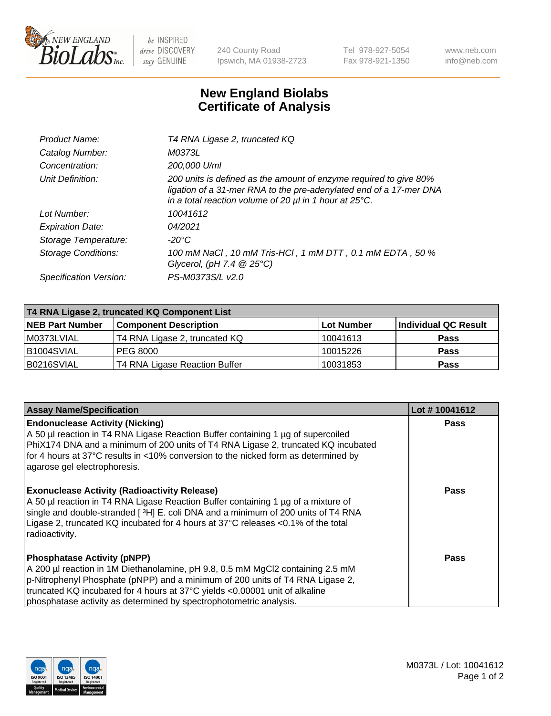

 $be$  INSPIRED drive DISCOVERY stay GENUINE

240 County Road Ipswich, MA 01938-2723 Tel 978-927-5054 Fax 978-921-1350 www.neb.com info@neb.com

## **New England Biolabs Certificate of Analysis**

| Product Name:              | T4 RNA Ligase 2, truncated KQ                                                                                                                                                                                    |
|----------------------------|------------------------------------------------------------------------------------------------------------------------------------------------------------------------------------------------------------------|
| Catalog Number:            | M0373L                                                                                                                                                                                                           |
| Concentration:             | 200,000 U/ml                                                                                                                                                                                                     |
| Unit Definition:           | 200 units is defined as the amount of enzyme required to give 80%<br>ligation of a 31-mer RNA to the pre-adenylated end of a 17-mer DNA<br>in a total reaction volume of 20 $\mu$ l in 1 hour at 25 $\degree$ C. |
| Lot Number:                | 10041612                                                                                                                                                                                                         |
| <b>Expiration Date:</b>    | 04/2021                                                                                                                                                                                                          |
| Storage Temperature:       | -20°C                                                                                                                                                                                                            |
| <b>Storage Conditions:</b> | 100 mM NaCl, 10 mM Tris-HCl, 1 mM DTT, 0.1 mM EDTA, 50 %<br>Glycerol, (pH 7.4 $@25°C$ )                                                                                                                          |
| Specification Version:     | PS-M0373S/L v2.0                                                                                                                                                                                                 |

| T4 RNA Ligase 2, truncated KQ Component List |                               |                   |                      |  |
|----------------------------------------------|-------------------------------|-------------------|----------------------|--|
| <b>NEB Part Number</b>                       | <b>Component Description</b>  | <b>Lot Number</b> | Individual QC Result |  |
| l M0373LVIAL                                 | T4 RNA Ligase 2, truncated KQ | 10041613          | <b>Pass</b>          |  |
| B1004SVIAL                                   | <b>PEG 8000</b>               | 10015226          | <b>Pass</b>          |  |
| B0216SVIAL                                   | T4 RNA Ligase Reaction Buffer | 10031853          | <b>Pass</b>          |  |

| <b>Assay Name/Specification</b>                                                                                                                                                                                                                                                                                                                            | Lot #10041612 |
|------------------------------------------------------------------------------------------------------------------------------------------------------------------------------------------------------------------------------------------------------------------------------------------------------------------------------------------------------------|---------------|
| <b>Endonuclease Activity (Nicking)</b><br>A 50 µl reaction in T4 RNA Ligase Reaction Buffer containing 1 µg of supercoiled<br>PhiX174 DNA and a minimum of 200 units of T4 RNA Ligase 2, truncated KQ incubated<br>for 4 hours at 37°C results in <10% conversion to the nicked form as determined by<br>agarose gel electrophoresis.                      | <b>Pass</b>   |
| <b>Exonuclease Activity (Radioactivity Release)</b><br>A 50 µl reaction in T4 RNA Ligase Reaction Buffer containing 1 µg of a mixture of<br>single and double-stranded [3H] E. coli DNA and a minimum of 200 units of T4 RNA<br>Ligase 2, truncated KQ incubated for 4 hours at 37°C releases <0.1% of the total<br>radioactivity.                         | Pass          |
| <b>Phosphatase Activity (pNPP)</b><br>A 200 µl reaction in 1M Diethanolamine, pH 9.8, 0.5 mM MgCl2 containing 2.5 mM<br>p-Nitrophenyl Phosphate (pNPP) and a minimum of 200 units of T4 RNA Ligase 2,<br>truncated KQ incubated for 4 hours at 37°C yields <0.00001 unit of alkaline<br>phosphatase activity as determined by spectrophotometric analysis. | Pass          |